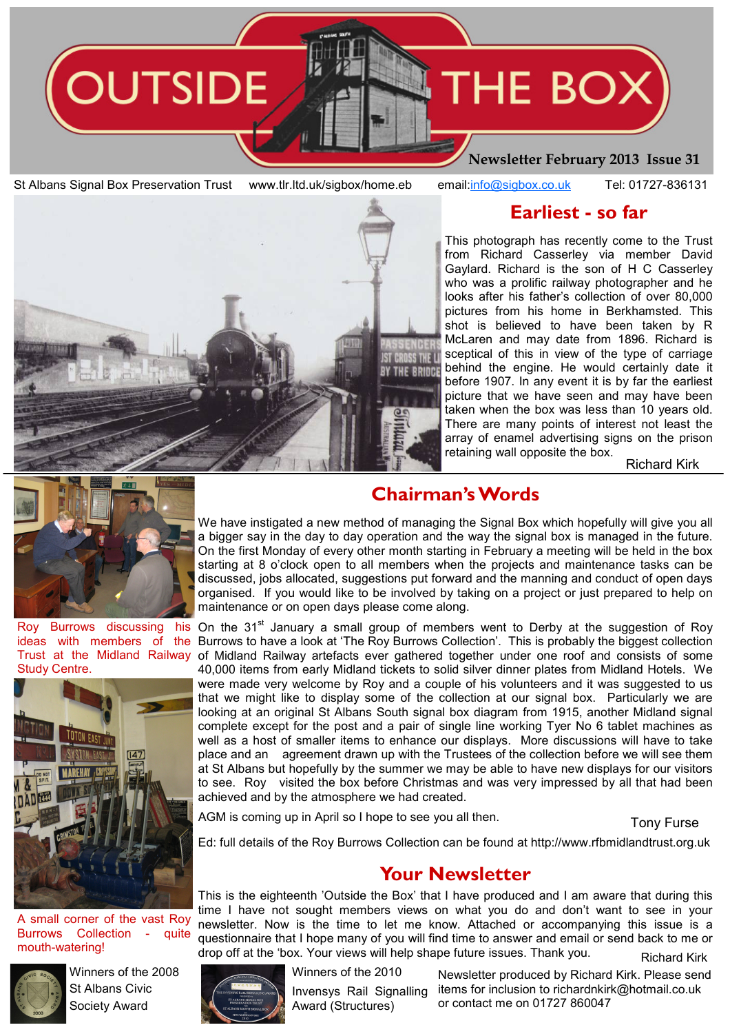

St Albans Signal Box Preservation Trust www.tlr.ltd.uk/sigbox/home.eb email:info@sigbox.co.uk Tel: 01727-836131

## Earliest - so far

This photograph has recently come to the Trust from Richard Casserley via member David Gaylard. Richard is the son of H C Casserley who was a prolific railway photographer and he looks after his father's collection of over 80,000 pictures from his home in Berkhamsted. This shot is believed to have been taken by R McLaren and may date from 1896. Richard is sceptical of this in view of the type of carriage behind the engine. He would certainly date it THE BRIDGE before 1907. In any event it is by far the earliest picture that we have seen and may have been taken when the box was less than 10 years old. There are many points of interest not least the array of enamel advertising signs on the prison retaining wall opposite the box.

Richard Kirk



Roy Burrows discussing his ideas with members of the Study Centre.



A small corner of the vast Roy Burrows Collection - quite mouth-watering!



Winners of the 2008 St Albans Civic Society Award

# Chairman's Words

We have instigated a new method of managing the Signal Box which hopefully will give you all a bigger say in the day to day operation and the way the signal box is managed in the future. On the first Monday of every other month starting in February a meeting will be held in the box starting at 8 o'clock open to all members when the projects and maintenance tasks can be discussed, jobs allocated, suggestions put forward and the manning and conduct of open days organised. If you would like to be involved by taking on a project or just prepared to help on maintenance or on open days please come along.

On the  $31<sup>st</sup>$  January a small group of members went to Derby at the suggestion of Roy Burrows to have a look at 'The Roy Burrows Collection'. This is probably the biggest collection Trust at the Midland Railway of Midland Railway artefacts ever gathered together under one roof and consists of some 40,000 items from early Midland tickets to solid silver dinner plates from Midland Hotels. We were made very welcome by Roy and a couple of his volunteers and it was suggested to us that we might like to display some of the collection at our signal box. Particularly we are looking at an original St Albans South signal box diagram from 1915, another Midland signal complete except for the post and a pair of single line working Tyer No 6 tablet machines as well as a host of smaller items to enhance our displays. More discussions will have to take place and an agreement drawn up with the Trustees of the collection before we will see them at St Albans but hopefully by the summer we may be able to have new displays for our visitors to see. Roy visited the box before Christmas and was very impressed by all that had been achieved and by the atmosphere we had created.

AGM is coming up in April so I hope to see you all then.

Tony Furse

Ed: full details of the Roy Burrows Collection can be found at http://www.rfbmidlandtrust.org.uk

## Your Newsletter

This is the eighteenth 'Outside the Box' that I have produced and I am aware that during this time I have not sought members views on what you do and don't want to see in your newsletter. Now is the time to let me know. Attached or accompanying this issue is a questionnaire that I hope many of you will find time to answer and email or send back to me or drop off at the 'box. Your views will help shape future issues. Thank you. Richard Kirk



Winners of the 2010

Invensys Rail Signalling Award (Structures)

Newsletter produced by Richard Kirk. Please send items for inclusion to richardnkirk@hotmail.co.uk or contact me on 01727 860047